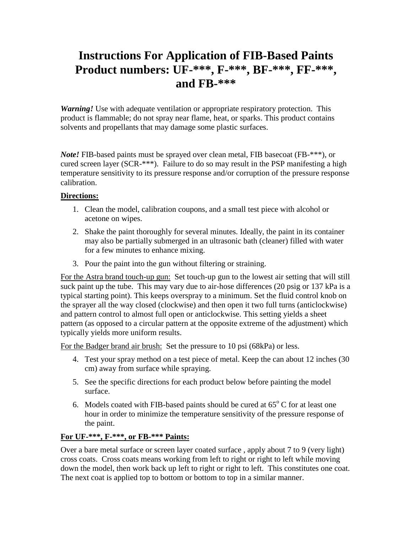# **Instructions For Application of FIB-Based Paints Product numbers: UF-\*\*\*, F-\*\*\*, BF-\*\*\*, FF-\*\*\* , and FB-\*\*\***

*Warning!* Use with adequate ventilation or appropriate respiratory protection. This product is flammable; do not spray near flame, heat, or sparks. This product contains solvents and propellants that may damage some plastic surfaces.

*Note!* FIB-based paints must be sprayed over clean metal, FIB basecoat (FB-\*\*\*), or cured screen layer (SCR-\*\*\*). Failure to do so may result in the PSP manifesting a high temperature sensitivity to its pressure response and/or corruption of the pressure response calibration.

## **Directions:**

- 1. Clean the model, calibration coupons, and a small test piece with alcohol or acetone on wipes.
- 2. Shake the paint thoroughly for several minutes. Ideally, the paint in its container may also be partially submerged in an ultrasonic bath (cleaner) filled with water for a few minutes to enhance mixing.
- 3. Pour the paint into the gun without filtering or straining.

For the Astra brand touch-up gun: Set touch-up gun to the lowest air setting that will still suck paint up the tube. This may vary due to air-hose differences (20 psig or 137 kPa is a typical starting point). This keeps overspray to a minimum. Set the fluid control knob on the sprayer all the way closed (clockwise) and then open it two full turns (anticlockwise) and pattern control to almost full open or anticlockwise. This setting yields a sheet pattern (as opposed to a circular pattern at the opposite extreme of the adjustment) which typically yields more uniform results.

For the Badger brand air brush: Set the pressure to 10 psi (68kPa) or less.

- 4. Test your spray method on a test piece of metal. Keep the can about 12 inches (30 cm) away from surface while spraying.
- 5. See the specific directions for each product below before painting the model surface.
- 6. Models coated with FIB-based paints should be cured at  $65^{\circ}$  C for at least one hour in order to minimize the temperature sensitivity of the pressure response of the paint.

# **For UF-\*\*\*, F-\*\*\*, or FB-\*\*\* Paints:**

Over a bare metal surface or screen layer coated surface , apply about 7 to 9 (very light) cross coats. Cross coats means working from left to right or right to left while moving down the model, then work back up left to right or right to left. This constitutes one coat. The next coat is applied top to bottom or bottom to top in a similar manner.